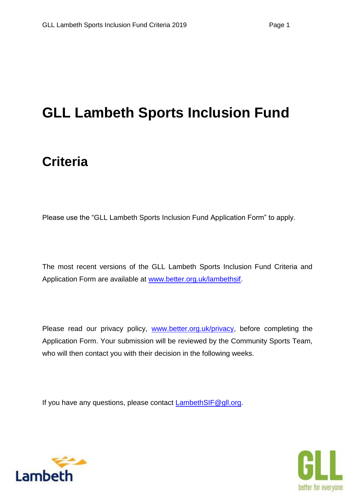# **GLL Lambeth Sports Inclusion Fund**

# **Criteria**

Please use the "GLL Lambeth Sports Inclusion Fund Application Form" to apply.

The most recent versions of the GLL Lambeth Sports Inclusion Fund Criteria and Application Form are available at [www.better.org.uk/lambethsif.](http://www.better.org.uk/lambethsif)

Please read our privacy policy, [www.better.org.uk/privacy,](http://www.better.org.uk/privacy) before completing the Application Form. Your submission will be reviewed by the Community Sports Team, who will then contact you with their decision in the following weeks.

If you have any questions, please contact LambethSIF@qll.org.



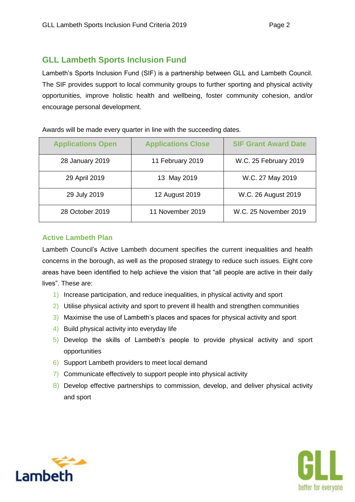# **GLL Lambeth Sports Inclusion Fund**

Lambeth's Sports Inclusion Fund (SIF) is a partnership between GLL and Lambeth Council. The SIF provides support to local community groups to further sporting and physical activity opportunities, improve holistic health and wellbeing, foster community cohesion, and/or encourage personal development.

| <b>Applications Open</b> | <b>Applications Close</b> | <b>SIF Grant Award Date</b> |
|--------------------------|---------------------------|-----------------------------|
| 28 January 2019          | 11 February 2019          | W.C. 25 February 2019       |
| 29 April 2019            | 13 May 2019               | W.C. 27 May 2019            |
| 29 July 2019             | 12 August 2019            | W.C. 26 August 2019         |
| 28 October 2019          | 11 November 2019          | W.C. 25 November 2019       |

Awards will be made every quarter in line with the succeeding dates.

#### **Active Lambeth Plan**

Lambeth Council's Active Lambeth document specifies the current inequalities and health concerns in the borough, as well as the proposed strategy to reduce such issues. Eight core areas have been identified to help achieve the vision that "all people are active in their daily lives". These are:

- 1) Increase participation, and reduce inequalities, in physical activity and sport
- 2) Utilise physical activity and sport to prevent ill health and strengthen communities
- 3) Maximise the use of Lambeth's places and spaces for physical activity and sport
- 4) Build physical activity into everyday life
- 5) Develop the skills of Lambeth's people to provide physical activity and sport opportunities
- 6) Support Lambeth providers to meet local demand
- 7) Communicate effectively to support people into physical activity
- 8) Develop effective partnerships to commission, develop, and deliver physical activity and sport



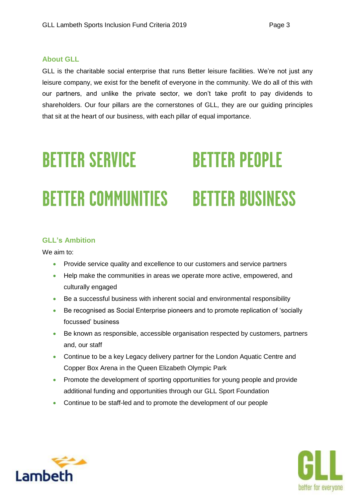#### **About GLL**

GLL is the charitable social enterprise that runs Better leisure facilities. We're not just any leisure company, we exist for the benefit of everyone in the community. We do all of this with our partners, and unlike the private sector, we don't take profit to pay dividends to shareholders. Our four pillars are the cornerstones of GLL, they are our guiding principles that sit at the heart of our business, with each pillar of equal importance.

# **BETTER PEOPLE BETTER SERVICE BETTER COMMUNITIES BETTER BUSINESS**

#### **GLL's Ambition**

We aim to:

- **•** Provide service quality and excellence to our customers and service partners
- Help make the communities in areas we operate more active, empowered, and culturally engaged
- Be a successful business with inherent social and environmental responsibility
- Be recognised as Social Enterprise pioneers and to promote replication of 'socially focussed' business
- Be known as responsible, accessible organisation respected by customers, partners and, our staff
- Continue to be a key Legacy delivery partner for the London Aquatic Centre and Copper Box Arena in the Queen Elizabeth Olympic Park
- **•** Promote the development of sporting opportunities for young people and provide additional funding and opportunities through our GLL Sport Foundation
- Continue to be staff-led and to promote the development of our people



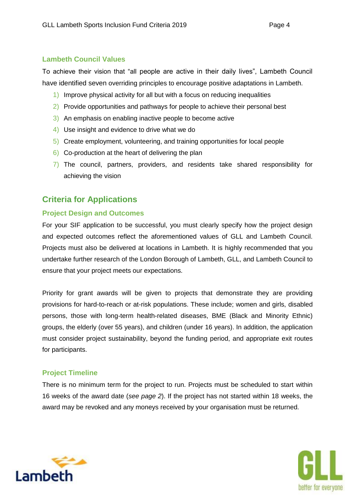#### **Lambeth Council Values**

To achieve their vision that "all people are active in their daily lives", Lambeth Council have identified seven overriding principles to encourage positive adaptations in Lambeth.

- 1) Improve physical activity for all but with a focus on reducing inequalities
- 2) Provide opportunities and pathways for people to achieve their personal best
- 3) An emphasis on enabling inactive people to become active
- 4) Use insight and evidence to drive what we do
- 5) Create employment, volunteering, and training opportunities for local people
- 6) Co-production at the heart of delivering the plan
- 7) The council, partners, providers, and residents take shared responsibility for achieving the vision

## **Criteria for Applications**

#### **Project Design and Outcomes**

For your SIF application to be successful, you must clearly specify how the project design and expected outcomes reflect the aforementioned values of GLL and Lambeth Council. Projects must also be delivered at locations in Lambeth. It is highly recommended that you undertake further research of the London Borough of Lambeth, GLL, and Lambeth Council to ensure that your project meets our expectations.

Priority for grant awards will be given to projects that demonstrate they are providing provisions for hard-to-reach or at-risk populations. These include; women and girls, disabled persons, those with long-term health-related diseases, BME (Black and Minority Ethnic) groups, the elderly (over 55 years), and children (under 16 years). In addition, the application must consider project sustainability, beyond the funding period, and appropriate exit routes for participants.

#### **Project Timeline**

There is no minimum term for the project to run. Projects must be scheduled to start within 16 weeks of the award date (*see page 2*). If the project has not started within 18 weeks, the award may be revoked and any moneys received by your organisation must be returned.



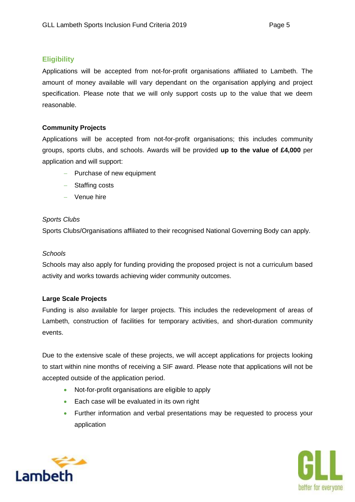#### **Eligibility**

Applications will be accepted from not-for-profit organisations affiliated to Lambeth. The amount of money available will vary dependant on the organisation applying and project specification. Please note that we will only support costs up to the value that we deem reasonable.

#### **Community Projects**

Applications will be accepted from not-for-profit organisations; this includes community groups, sports clubs, and schools. Awards will be provided **up to the value of £4,000** per application and will support:

- $-$  Purchase of new equipment
- Staffing costs
- Venue hire

#### *Sports Clubs*

Sports Clubs/Organisations affiliated to their recognised National Governing Body can apply.

#### *Schools*

Schools may also apply for funding providing the proposed project is not a curriculum based activity and works towards achieving wider community outcomes.

#### **Large Scale Projects**

Funding is also available for larger projects. This includes the redevelopment of areas of Lambeth, construction of facilities for temporary activities, and short-duration community events.

Due to the extensive scale of these projects, we will accept applications for projects looking to start within nine months of receiving a SIF award. Please note that applications will not be accepted outside of the application period.

- Not-for-profit organisations are eligible to apply
- **Each case will be evaluated in its own right**
- Further information and verbal presentations may be requested to process your application



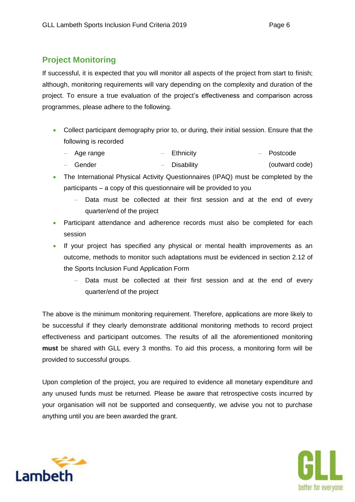# **Project Monitoring**

If successful, it is expected that you will monitor all aspects of the project from start to finish; although, monitoring requirements will vary depending on the complexity and duration of the project. To ensure a true evaluation of the project's effectiveness and comparison across programmes, please adhere to the following.

- Collect participant demography prior to, or during, their initial session. Ensure that the following is recorded
	- $-$  Age range - Ethnicity - Postcode
	- Gender - Disability (outward code)
- The International Physical Activity Questionnaires (IPAQ) must be completed by the participants – a copy of this questionnaire will be provided to you
	- Data must be collected at their first session and at the end of every quarter/end of the project
- Participant attendance and adherence records must also be completed for each session
- If your project has specified any physical or mental health improvements as an outcome, methods to monitor such adaptations must be evidenced in section 2.12 of the Sports Inclusion Fund Application Form
	- Data must be collected at their first session and at the end of every quarter/end of the project

The above is the minimum monitoring requirement. Therefore, applications are more likely to be successful if they clearly demonstrate additional monitoring methods to record project effectiveness and participant outcomes. The results of all the aforementioned monitoring **must** be shared with GLL every 3 months. To aid this process, a monitoring form will be provided to successful groups.

Upon completion of the project, you are required to evidence all monetary expenditure and any unused funds must be returned. Please be aware that retrospective costs incurred by your organisation will not be supported and consequently, we advise you not to purchase anything until you are been awarded the grant.



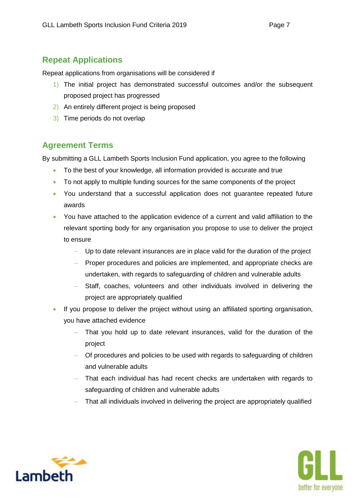## **Repeat Applications**

Repeat applications from organisations will be considered if

- 1) The initial project has demonstrated successful outcomes and/or the subsequent proposed project has progressed
- 2) An entirely different project is being proposed
- 3) Time periods do not overlap

## **Agreement Terms**

By submitting a GLL Lambeth Sports Inclusion Fund application, you agree to the following

- To the best of your knowledge, all information provided is accurate and true
- To not apply to multiple funding sources for the same components of the project
- You understand that a successful application does not guarantee repeated future awards
- You have attached to the application evidence of a current and valid affiliation to the relevant sporting body for any organisation you propose to use to deliver the project to ensure
	- Up to date relevant insurances are in place valid for the duration of the project
	- Proper procedures and policies are implemented, and appropriate checks are undertaken, with regards to safeguarding of children and vulnerable adults
	- Staff, coaches, volunteers and other individuals involved in delivering the project are appropriately qualified
- If you propose to deliver the project without using an affiliated sporting organisation, you have attached evidence
	- That you hold up to date relevant insurances, valid for the duration of the project
	- Of procedures and policies to be used with regards to safeguarding of children and vulnerable adults
	- That each individual has had recent checks are undertaken with regards to safeguarding of children and vulnerable adults
	- That all individuals involved in delivering the project are appropriately qualified